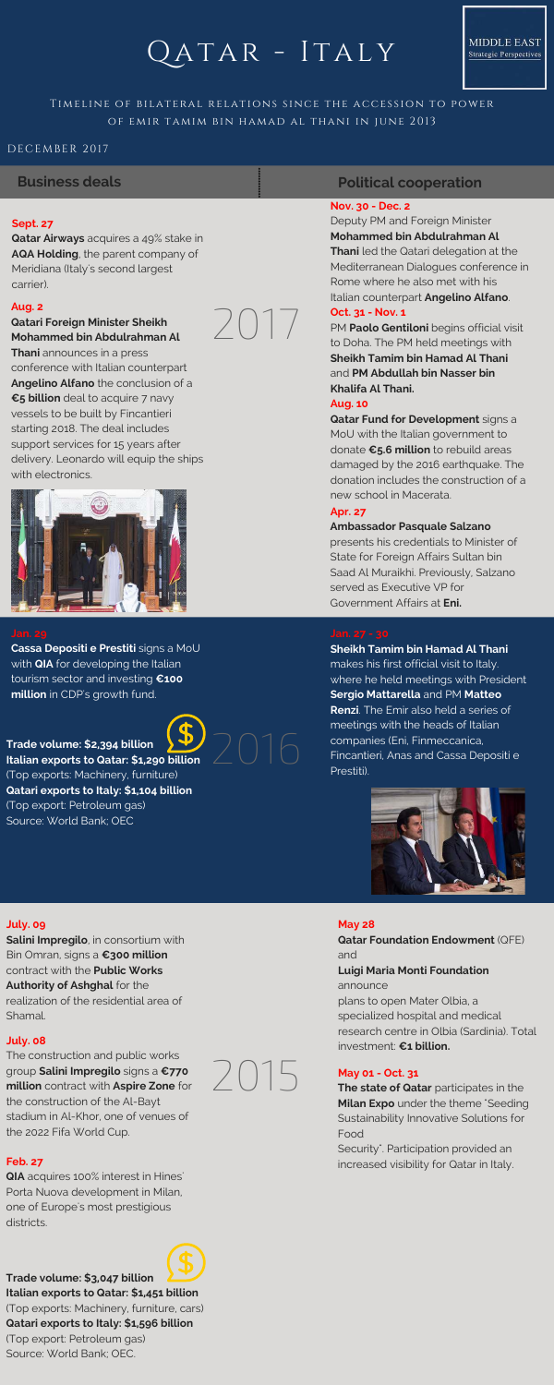# $OATAR - ITALY$ QATAR - ITALY

# TIMELINE OF BILATERAL RELATIONS SINCE THE ACCESSION TO POWER OF EMIR TAMIM BIN HAMAD AL THANI IN JUNE 2013

### **Nov. 30 - Dec. 2**

Deputy PM and Foreign Minister **Mohammed bin Abdulrahman Al Thani** led the Qatari delegation at the Mediterranean Dialogues conference in Rome where he also met with his Italian counterpart **Angelino Alfano**.

### **Oct. 31 - Nov. 1**

PM **Paolo Gentiloni** begins official visit to Doha. The PM held meetings with **Sheikh Tamim bin Hamad Al Thani** and **PM Abdullah bin Nasser bin Khalifa Al Thani.** 

### **Aug. 10**

**Qatar Fund for Development** signs a MoU with the Italian government to donate **€5.6 million** to rebuild areas damaged by the 2016 earthquake. The donation includes the construction of a new school in Macerata.

### **Apr. 27**

### **Ambassador Pasquale Salzano**

presents his credentials to Minister of State for Foreign Affairs Sultan bin Saad Al Muraikhi. Previously, Salzano served as Executive VP for Government Affairs at **Eni.**

**Trade volume: \$2,394 billion Italian exports to Qatar: \$1,290 billion** (Top exports: Machinery, furniture) **Qatari exports to Italy: \$1,104 billion** (Top export: Petroleum gas) Source: World Bank; OEC.



**Cassa Depositi e Prestiti** signs a MoU with **QIA** for developing the Italian tourism sector and investing **€100 million** in CDP's growth fund.

Security". Participation provided an **Feb. 27 increased visibility for Qatar in Italy. Feb. 27 increased visibility for Qatar in Italy.** 

**Sheikh Tamim bin Hamad Al Thani** makes his first official visit to Italy. where he held meetings with President **Sergio Mattarella** and PM **Matteo Renzi**. The Emir also held a series of meetings with the heads of Italian companies (Eni, Finmeccanica, Fincantieri, Anas and Cassa Depositi e Prestiti).



### **Sept. 27**

**Qatar Airways** acquires a 49% stake in **AQA Holding**, the parent company of Meridiana (Italy's second largest carrier).

# **Political cooperation**



2017

### DECEMBER 2017

## **Business deals**

### **Aug. 2**

### **Qatari Foreign Minister Sheikh Mohammed bin Abdulrahman Al**

**Thani** announces in a press conference with Italian counterpart **Angelino Alfano** the conclusion of a **€5 billion** deal to acquire 7 navy vessels to be built by Fincantieri starting 2018. The deal includes support services for 15 years after delivery. Leonardo will equip the ships with electronics.



### **May 28**

**Qatar Foundation Endowment** (QFE) and **Luigi Maria Monti Foundation** announce plans to open Mater Olbia, a specialized hospital and medical research centre in Olbia (Sardinia). Total investment: **€1 billion.**

### **July. 09**

**Salini Impregilo**, in consortium with Bin Omran, signs a **€300 million** contract with the **Public Works Authority of Ashghal** for the realization of the residential area of Shamal.

### **July. 08**

The construction and public works group **Salini Impregilo** signs a **€770 million** contract with **Aspire Zone** for the construction of the Al-Bayt stadium in Al-Khor, one of venues of the 2022 Fifa World Cup.

### **May 01 - Oct. 31**

**The state of Qatar** participates in the **Milan Expo** under the theme "Seeding Sustainability Innovative Solutions for Food

**QIA** acquires 100% interest in Hines' Porta Nuova development in Milan, one of Europe's most prestigious districts.

**Trade volume: \$3,047 billion Italian exports to Qatar: \$1,451 billion** (Top exports: Machinery, furniture, cars) **Qatari exports to Italy: \$1,596 billion** (Top export: Petroleum gas) Source: World Bank; OEC.